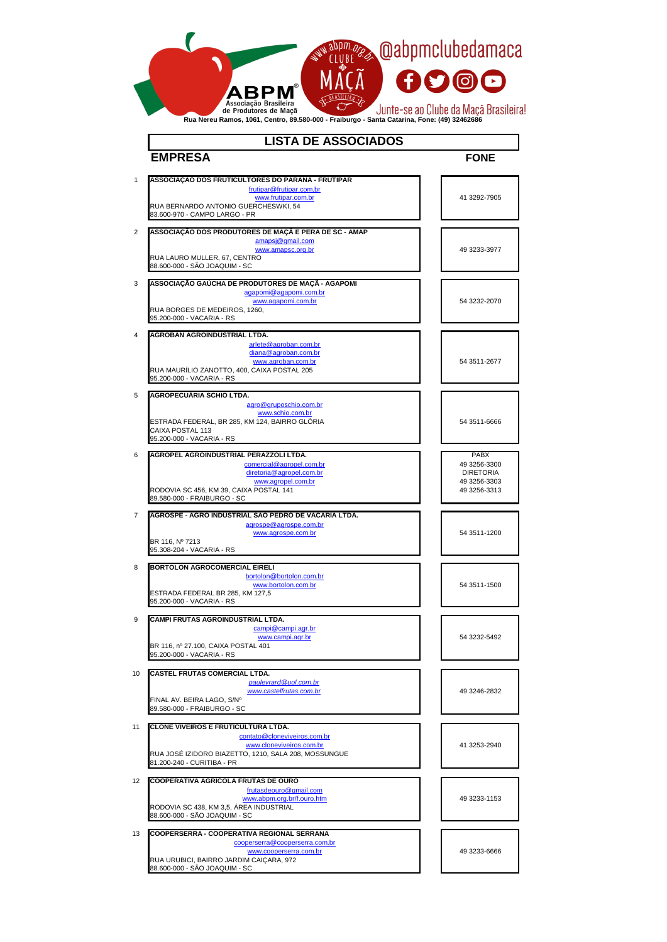| $\mathbf 1$    | ASSOCIAÇÃO DOS FRUTICULTORES DO PARANÁ - FRUTIPAR<br>frutipar@frutipar.com.br<br>www.frutipar.com.br<br>RUA BERNARDO ANTONIO GUERCHESWKI, 54                                                 | 41 3292-7905                                                     |
|----------------|----------------------------------------------------------------------------------------------------------------------------------------------------------------------------------------------|------------------------------------------------------------------|
|                | 83.600-970 - CAMPO LARGO - PR                                                                                                                                                                |                                                                  |
| $\overline{2}$ | ASSOCIAÇÃO DOS PRODUTORES DE MAÇÃ E PERA DE SC - AMAP<br>amapsj@gmail.com<br>www.amapsc.org.br<br>RUA LAURO MULLER, 67, CENTRO                                                               | 49 3233-3977                                                     |
|                | 88.600-000 - SÃO JOAQUIM - SC                                                                                                                                                                |                                                                  |
|                |                                                                                                                                                                                              |                                                                  |
| 3              | ASSOCIAÇÃO GAUCHA DE PRODUTORES DE MAÇÃ - AGAPOMI<br>agapomi@agapomi.com.br<br>www.agapomi.com.br<br>RUA BORGES DE MEDEIROS, 1260,<br>95.200-000 - VACARIA - RS                              | 54 3232-2070                                                     |
|                |                                                                                                                                                                                              |                                                                  |
| $\overline{4}$ | <b>AGROBAN AGROINDUSTRIAL LTDA.</b><br>arlete@agroban.com.br<br>diana@agroban.com.br<br>www.agroban.com.br<br>RUA MAURÍLIO ZANOTTO, 400, CAIXA POSTAL 205<br>95.200-000 - VACARIA - RS       | 54 3511-2677                                                     |
|                |                                                                                                                                                                                              |                                                                  |
| 5              | <b>AGROPECUÁRIA SCHIO LTDA.</b><br>agro@gruposchio.com.br<br>www.schio.com.br<br>ESTRADA FEDERAL, BR 285, KM 124, BAIRRO GLÓRIA<br>CAIXA POSTAL 113<br>95.200-000 - VACARIA - RS             | 54 3511-6666                                                     |
| 6              | AGROPEL AGROINDUSTRIAL PERAZZOLI LTDA.                                                                                                                                                       | <b>PABX</b>                                                      |
|                | comercial@agropel.com.br<br>diretoria@agropel.com.br<br>www.agropel.com.br<br>RODOVIA SC 456, KM 39, CAIXA POSTAL 141<br>89.580-000 - FRAIBURGO - SC                                         | 49 3256-3300<br><b>DIRETORIA</b><br>49 3256-3303<br>49 3256-3313 |
| $\overline{7}$ | AGROSPE - AGRO INDUSTRIAL SÃO PEDRO DE VACARIA LTDA.                                                                                                                                         |                                                                  |
|                | agrospe@agrospe.com.br<br>www.agrospe.com.br<br>BR 116, Nº 7213<br>95.308-204 - VACARIA - RS                                                                                                 | 54 3511-1200                                                     |
|                |                                                                                                                                                                                              |                                                                  |
| 8              | <b>BORTOLON AGROCOMERCIAL EIRELI</b><br>bortolon@bortolon.com.br<br>www.bortolon.com.br<br>ESTRADA FEDERAL BR 285, KM 127,5<br>95.200-000 - VACARIA - RS                                     | 54 3511-1500                                                     |
|                |                                                                                                                                                                                              |                                                                  |
| 9              | <b>CAMPI FRUTAS AGROINDUSTRIAL LTDA.</b><br>campi@campi.agr.br<br>www.campi.agr.br<br>BR 116, nº 27.100, CAIXA POSTAL 401<br>95.200-000 - VACARIA - RS                                       | 54 3232-5492                                                     |
|                |                                                                                                                                                                                              |                                                                  |
| 10             | <b>CASTEL FRUTAS COMERCIAL LTDA.</b><br>paulevrard@uol.com.br<br>www.castelfrutas.com.br<br>FINAL AV. BEIRA LAGO, S/Nº<br>89.580-000 - FRAIBURGO - SC                                        | 49 3246-2832                                                     |
|                |                                                                                                                                                                                              |                                                                  |
| 11             | <b>CLONE VIVEIROS E FRUTICULTURA LTDA.</b><br>contato@cloneviveiros.com.br<br>www.cloneviveiros.com.br<br>RUA JOSÉ IZIDORO BIAZETTO, 1210, SALA 208, MOSSUNGUE<br>81.200-240 - CURITIBA - PR | 41 3253-2940                                                     |
|                |                                                                                                                                                                                              |                                                                  |
| 12             | <b>COOPERATIVA AGRÍCOLA FRUTAS DE OURO</b><br>frutasdeouro@gmail.com<br>www.abpm.org.br/f.ouro.htm<br>RODOVIA SC 438, KM 3,5, ÁREA INDUSTRIAL<br>88.600-000 - SÃO JOAQUIM - SC               | 49 3233-1153                                                     |
|                |                                                                                                                                                                                              |                                                                  |
| 13             | <b>COOPERSERRA - COOPERATIVA REGIONAL SERRANA</b><br>cooperserra@cooperserra.com.br<br>www.cooperserra.com.br<br>RUA URUBICI, BAIRRO JARDIM CAIÇARA, 972<br>88.600-000 - SÃO JOAQUIM - SC    | 49 3233-6666                                                     |

## **EMPRESA FONE LISTA DE ASSOCIADOS**

|                                                                                           | <b>Ropm.green @abpmclubedamaca</b>                        |
|-------------------------------------------------------------------------------------------|-----------------------------------------------------------|
| <b>ABPM</b> ®                                                                             | <b>FDOD</b>                                               |
| Associação Brasileira<br>de Produtores de Maçã<br>Due Neveu Demos 4004 Centre, 00 500 000 | Junte-se ao Clube da Maçã Brasileira!<br>$F_{\text{ref}}$ |

**Rua Nereu Ramos, 1061, Centro, 89.580-000 - Fraiburgo - Santa Catarina, Fone: (49) 32462686**